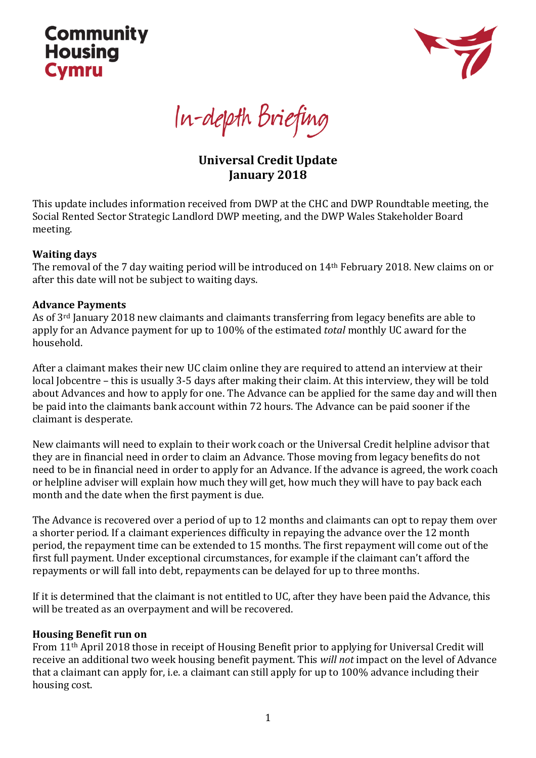



In-depth Briefing

## **Universal Credit Update January 2018**

This update includes information received from DWP at the CHC and DWP Roundtable meeting, the Social Rented Sector Strategic Landlord DWP meeting, and the DWP Wales Stakeholder Board meeting.

#### **Waiting days**

The removal of the 7 day waiting period will be introduced on 14th February 2018. New claims on or after this date will not be subject to waiting days.

#### **Advance Payments**

As of 3rd January 2018 new claimants and claimants transferring from legacy benefits are able to apply for an Advance payment for up to 100% of the estimated *total* monthly UC award for the household.

After a claimant makes their new UC claim online they are required to attend an interview at their local Jobcentre – this is usually 3-5 days after making their claim. At this interview, they will be told about Advances and how to apply for one. The Advance can be applied for the same day and will then be paid into the claimants bank account within 72 hours. The Advance can be paid sooner if the claimant is desperate.

New claimants will need to explain to their work coach or the Universal Credit helpline advisor that they are in financial need in order to claim an Advance. Those moving from legacy benefits do not need to be in financial need in order to apply for an Advance. If the advance is agreed, the work coach or helpline adviser will explain how much they will get, how much they will have to pay back each month and the date when the first payment is due.

The Advance is recovered over a period of up to 12 months and claimants can opt to repay them over a shorter period. If a claimant experiences difficulty in repaying the advance over the 12 month period, the repayment time can be extended to 15 months. The first repayment will come out of the first full payment. Under exceptional circumstances, for example if the claimant can't afford the repayments or will fall into debt, repayments can be delayed for up to three months.

If it is determined that the claimant is not entitled to UC, after they have been paid the Advance, this will be treated as an overpayment and will be recovered.

#### **Housing Benefit run on**

From 11th April 2018 those in receipt of Housing Benefit prior to applying for Universal Credit will receive an additional two week housing benefit payment. This *will not* impact on the level of Advance that a claimant can apply for, i.e. a claimant can still apply for up to 100% advance including their housing cost.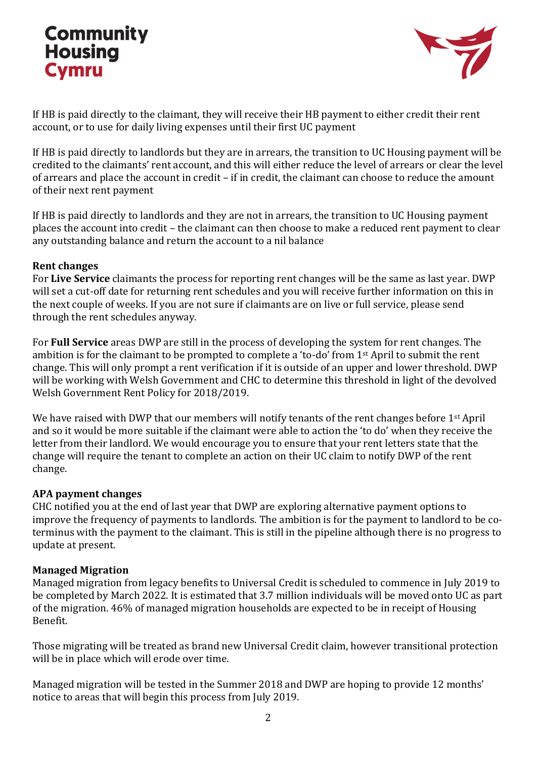## **Community Housing Cymru**



If HB is paid directly to the claimant, they will receive their HB payment to either credit their rent account, or to use for daily living expenses until their first UC payment

If HB is paid directly to landlords but they are in arrears, the transition to UC Housing payment will be credited to the claimants' rent account, and this will either reduce the level of arrears or clear the level of arrears and place the account in credit – if in credit, the claimant can choose to reduce the amount of their next rent payment

If HB is paid directly to landlords and they are not in arrears, the transition to UC Housing payment places the account into credit – the claimant can then choose to make a reduced rent payment to clear any outstanding balance and return the account to a nil balance

## **Rent changes**

For **Live Service** claimants the process for reporting rent changes will be the same as last year. DWP will set a cut-off date for returning rent schedules and you will receive further information on this in the next couple of weeks. If you are not sure if claimants are on live or full service, please send through the rent schedules anyway.

For **Full Service** areas DWP are still in the process of developing the system for rent changes. The ambition is for the claimant to be prompted to complete a 'to-do' from 1st April to submit the rent change. This will only prompt a rent verification if it is outside of an upper and lower threshold. DWP will be working with Welsh Government and CHC to determine this threshold in light of the devolved Welsh Government Rent Policy for 2018/2019.

We have raised with DWP that our members will notify tenants of the rent changes before 1<sup>st</sup> April and so it would be more suitable if the claimant were able to action the 'to do' when they receive the letter from their landlord. We would encourage you to ensure that your rent letters state that the change will require the tenant to complete an action on their UC claim to notify DWP of the rent change.

## **APA payment changes**

CHC notified you at the end of last year that DWP are exploring alternative payment options to improve the frequency of payments to landlords. The ambition is for the payment to landlord to be coterminus with the payment to the claimant. This is still in the pipeline although there is no progress to update at present.

## **Managed Migration**

Managed migration from legacy benefits to Universal Credit is scheduled to commence in July 2019 to be completed by March 2022. It is estimated that 3.7 million individuals will be moved onto UC as part of the migration. 46% of managed migration households are expected to be in receipt of Housing Benefit.

Those migrating will be treated as brand new Universal Credit claim, however transitional protection will be in place which will erode over time.

Managed migration will be tested in the Summer 2018 and DWP are hoping to provide 12 months' notice to areas that will begin this process from July 2019.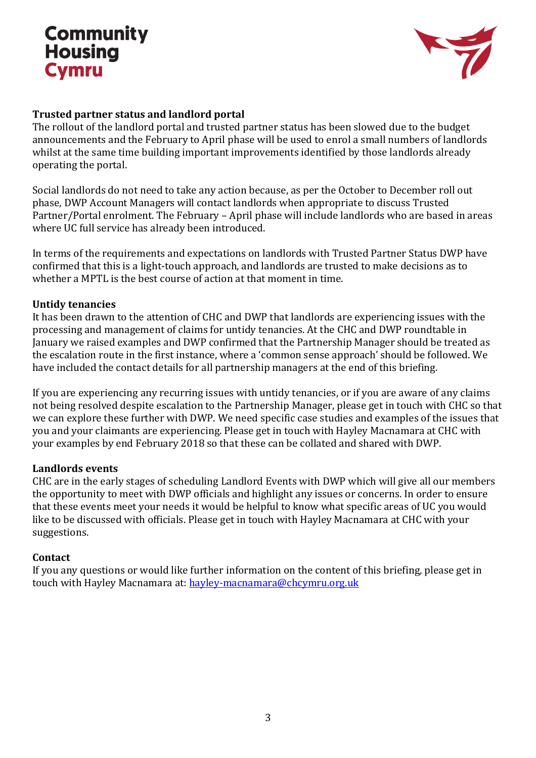## **Community Housing Cymru**



## **Trusted partner status and landlord portal**

The rollout of the landlord portal and trusted partner status has been slowed due to the budget announcements and the February to April phase will be used to enrol a small numbers of landlords whilst at the same time building important improvements identified by those landlords already operating the portal.

Social landlords do not need to take any action because, as per the October to December roll out phase, DWP Account Managers will contact landlords when appropriate to discuss Trusted Partner/Portal enrolment. The February – April phase will include landlords who are based in areas where UC full service has already been introduced.

In terms of the requirements and expectations on landlords with Trusted Partner Status DWP have confirmed that this is a light-touch approach, and landlords are trusted to make decisions as to whether a MPTL is the best course of action at that moment in time.

## **Untidy tenancies**

It has been drawn to the attention of CHC and DWP that landlords are experiencing issues with the processing and management of claims for untidy tenancies. At the CHC and DWP roundtable in January we raised examples and DWP confirmed that the Partnership Manager should be treated as the escalation route in the first instance, where a 'common sense approach' should be followed. We have included the contact details for all partnership managers at the end of this briefing.

If you are experiencing any recurring issues with untidy tenancies, or if you are aware of any claims not being resolved despite escalation to the Partnership Manager, please get in touch with CHC so that we can explore these further with DWP. We need specific case studies and examples of the issues that you and your claimants are experiencing. Please get in touch with Hayley Macnamara at CHC with your examples by end February 2018 so that these can be collated and shared with DWP.

## **Landlords events**

CHC are in the early stages of scheduling Landlord Events with DWP which will give all our members the opportunity to meet with DWP officials and highlight any issues or concerns. In order to ensure that these events meet your needs it would be helpful to know what specific areas of UC you would like to be discussed with officials. Please get in touch with Hayley Macnamara at CHC with your suggestions.

## **Contact**

If you any questions or would like further information on the content of this briefing, please get in touch with Hayley Macnamara at: [hayley-macnamara@chcymru.org.uk](mailto:hayley-macnamara@chcymru.org.uk)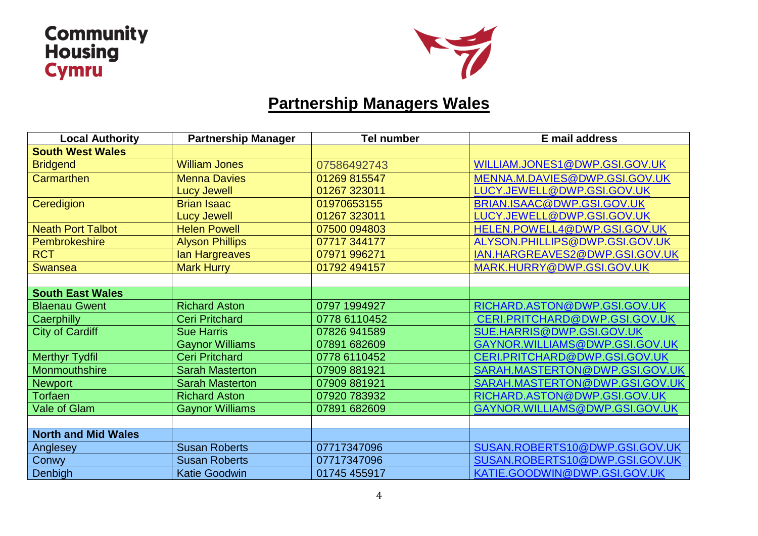## **Community<br>Housing<br>Cymru**



## **Partnership Managers Wales**

| <b>Local Authority</b>     | <b>Partnership Manager</b> | <b>Tel number</b> | E mail address                 |
|----------------------------|----------------------------|-------------------|--------------------------------|
| <b>South West Wales</b>    |                            |                   |                                |
| <b>Bridgend</b>            | <b>William Jones</b>       | 07586492743       | WILLIAM.JONES1@DWP.GSI.GOV.UK  |
| <b>Carmarthen</b>          | <b>Menna Davies</b>        | 01269 815547      | MENNA.M.DAVIES@DWP.GSI.GOV.UK  |
|                            | <b>Lucy Jewell</b>         | 01267 323011      | LUCY.JEWELL@DWP.GSI.GOV.UK     |
| Ceredigion                 | <b>Brian Isaac</b>         | 01970653155       | BRIAN.ISAAC@DWP.GSI.GOV.UK     |
|                            | <b>Lucy Jewell</b>         | 01267 323011      | LUCY.JEWELL@DWP.GSI.GOV.UK     |
| <b>Neath Port Talbot</b>   | <b>Helen Powell</b>        | 07500 094803      | HELEN.POWELL4@DWP.GSI.GOV.UK   |
| Pembrokeshire              | <b>Alyson Phillips</b>     | 07717 344177      | ALYSON.PHILLIPS@DWP.GSI.GOV.UK |
| <b>RCT</b>                 | lan Hargreaves             | 07971 996271      | IAN.HARGREAVES2@DWP.GSI.GOV.UK |
| <b>Swansea</b>             | <b>Mark Hurry</b>          | 01792 494157      | MARK.HURRY@DWP.GSI.GOV.UK      |
|                            |                            |                   |                                |
| <b>South East Wales</b>    |                            |                   |                                |
| <b>Blaenau Gwent</b>       | <b>Richard Aston</b>       | 0797 1994927      | RICHARD.ASTON@DWP.GSI.GOV.UK   |
| Caerphilly                 | <b>Ceri Pritchard</b>      | 0778 6110452      | CERI.PRITCHARD@DWP.GSI.GOV.UK  |
| <b>City of Cardiff</b>     | <b>Sue Harris</b>          | 07826 941589      | SUE.HARRIS@DWP.GSI.GOV.UK      |
|                            | <b>Gaynor Williams</b>     | 07891 682609      | GAYNOR.WILLIAMS@DWP.GSI.GOV.UK |
| <b>Merthyr Tydfil</b>      | <b>Ceri Pritchard</b>      | 0778 6110452      | CERI.PRITCHARD@DWP.GSI.GOV.UK  |
| Monmouthshire              | <b>Sarah Masterton</b>     | 07909 881921      | SARAH.MASTERTON@DWP.GSI.GOV.UK |
| <b>Newport</b>             | <b>Sarah Masterton</b>     | 07909 881921      | SARAH.MASTERTON@DWP.GSI.GOV.UK |
| <b>Torfaen</b>             | <b>Richard Aston</b>       | 07920 783932      | RICHARD.ASTON@DWP.GSI.GOV.UK   |
| Vale of Glam               | <b>Gaynor Williams</b>     | 07891 682609      | GAYNOR.WILLIAMS@DWP.GSI.GOV.UK |
|                            |                            |                   |                                |
| <b>North and Mid Wales</b> |                            |                   |                                |
| Anglesey                   | <b>Susan Roberts</b>       | 07717347096       | SUSAN.ROBERTS10@DWP.GSI.GOV.UK |
| Conwy                      | <b>Susan Roberts</b>       | 07717347096       | SUSAN.ROBERTS10@DWP.GSI.GOV.UK |
| Denbigh                    | <b>Katie Goodwin</b>       | 01745 455917      | KATIE.GOODWIN@DWP.GSI.GOV.UK   |